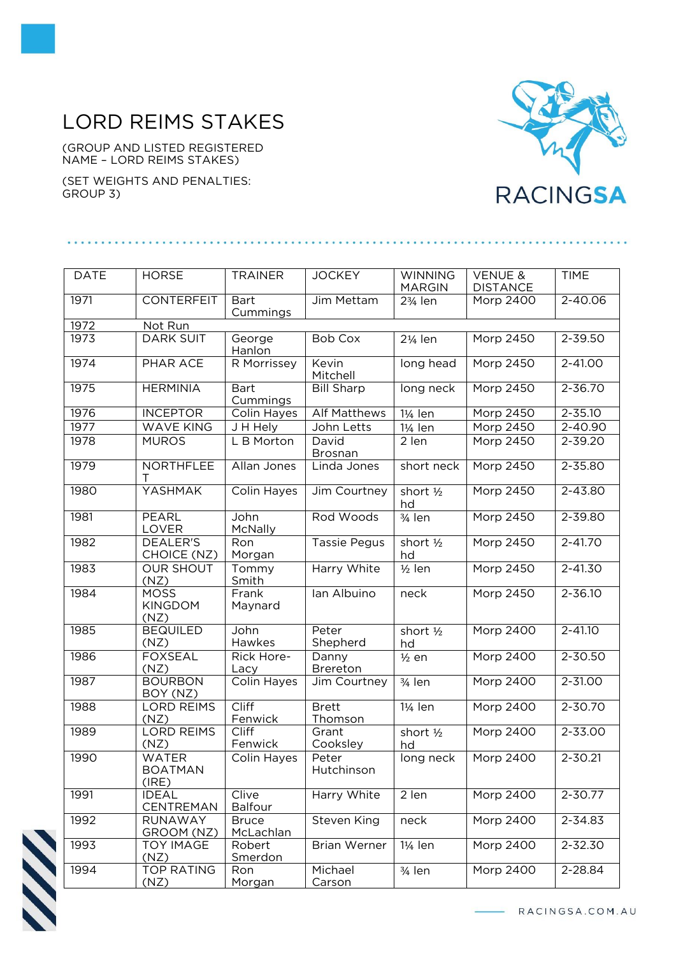## LORD REIMS STAKES

(GROUP AND LISTED REGISTERED NAME – LORD REIMS STAKES)

(SET WEIGHTS AND PENALTIES: GROUP 3)



| <b>DATE</b> | <b>HORSE</b>                            | <b>TRAINER</b>            | <b>JOCKEY</b>           | <b>WINNING</b><br><b>MARGIN</b> | <b>VENUE &amp;</b><br><b>DISTANCE</b> | <b>TIME</b> |
|-------------|-----------------------------------------|---------------------------|-------------------------|---------------------------------|---------------------------------------|-------------|
| 1971        | <b>CONTERFEIT</b>                       | <b>Bart</b><br>Cummings   | Jim Mettam              | 23/ <sub>4</sub> len            | Morp 2400                             | 2-40.06     |
| 1972        | Not Run                                 |                           |                         |                                 |                                       |             |
| 1973        | <b>DARK SUIT</b>                        | George<br>Hanlon          | <b>Bob Cox</b>          | 21/ <sub>4</sub> len            | Morp 2450                             | 2-39.50     |
| 1974        | PHAR ACE                                | R Morrissey               | Kevin<br>Mitchell       | long head                       | Morp 2450                             | 2-41.00     |
| 1975        | <b>HERMINIA</b>                         | <b>Bart</b><br>Cummings   | <b>Bill Sharp</b>       | long neck                       | Morp 2450                             | 2-36.70     |
| 1976        | <b>INCEPTOR</b>                         | Colin Hayes               | <b>Alf Matthews</b>     | 11/ <sub>4</sub> len            | <b>Morp 2450</b>                      | $2 - 35.10$ |
| 1977        | <b>WAVE KING</b>                        | J H Hely                  | John Letts              | 1¼ len                          | Morp 2450                             | 2-40.90     |
| 1978        | <b>MUROS</b>                            | L B Morton                | David<br><b>Brosnan</b> | 2 len                           | Morp 2450                             | 2-39.20     |
| 1979        | <b>NORTHFLEE</b><br>т                   | Allan Jones               | Linda Jones             | short neck                      | Morp 2450                             | 2-35.80     |
| 1980        | YASHMAK                                 | Colin Hayes               | Jim Courtney            | short 1/2<br>hd                 | Morp 2450                             | 2-43.80     |
| 1981        | <b>PEARL</b><br>LOVER                   | John<br><b>McNally</b>    | Rod Woods               | 3/ <sub>4</sub> len             | Morp 2450                             | 2-39.80     |
| 1982        | <b>DEALER'S</b><br>CHOICE (NZ)          | Ron<br>Morgan             | <b>Tassie Pegus</b>     | short 1/2<br>hd                 | Morp 2450                             | $2 - 41.70$ |
| 1983        | <b>OUR SHOUT</b><br>(NZ)                | Tommy<br>Smith            | Harry White             | $1/2$ len                       | Morp 2450                             | 2-41.30     |
| 1984        | <b>MOSS</b><br><b>KINGDOM</b><br>(NZ)   | Frank<br>Maynard          | lan Albuino             | neck                            | Morp 2450                             | 2-36.10     |
| 1985        | <b>BEQUILED</b><br>(NZ)                 | John<br>Hawkes            | Peter<br>Shepherd       | short 1/2<br>hd                 | Morp 2400                             | $2 - 41.10$ |
| 1986        | <b>FOXSEAL</b><br>(NZ)                  | Rick Hore-<br>Lacy        | Danny<br>Brereton       | $\frac{1}{2}$ en                | Morp 2400                             | 2-30.50     |
| 1987        | <b>BOURBON</b><br>BOY (NZ)              | Colin Hayes               | Jim Courtney            | $\overline{\frac{3}{4}}$ len    | Morp 2400                             | 2-31.00     |
| 1988        | <b>LORD REIMS</b><br>(NZ)               | Cliff<br>Fenwick          | <b>Brett</b><br>Thomson | 1¼ len                          | Morp 2400                             | 2-30.70     |
| 1989        | <b>LORD REIMS</b><br>(NZ)               | <b>Cliff</b><br>Fenwick   | Grant<br>Cooksley       | short 1/2<br>hd                 | <b>Morp 2400</b>                      | $2 - 33.00$ |
| 1990        | <b>WATER</b><br><b>BOATMAN</b><br>(IRE) | Colin Hayes               | Peter<br>Hutchinson     | long neck                       | Morp 2400                             | 2-30.21     |
| 1991        | <b>IDEAL</b><br>CENTREMAN               | Clive<br><b>Balfour</b>   | Harry White             | 2 len                           | Morp 2400                             | 2-30.77     |
| 1992        | <b>RUNAWAY</b><br>GROOM (NZ)            | <b>Bruce</b><br>McLachlan | Steven King             | neck                            | Morp 2400                             | 2-34.83     |
| 1993        | <b>TOY IMAGE</b><br>(NZ)                | Robert<br>Smerdon         | <b>Brian Werner</b>     | 1¼ len                          | Morp 2400                             | 2-32.30     |
| 1994        | <b>TOP RATING</b><br>(NZ)               | Ron<br>Morgan             | Michael<br>Carson       | $3/4$ len                       | Morp 2400                             | 2-28.84     |